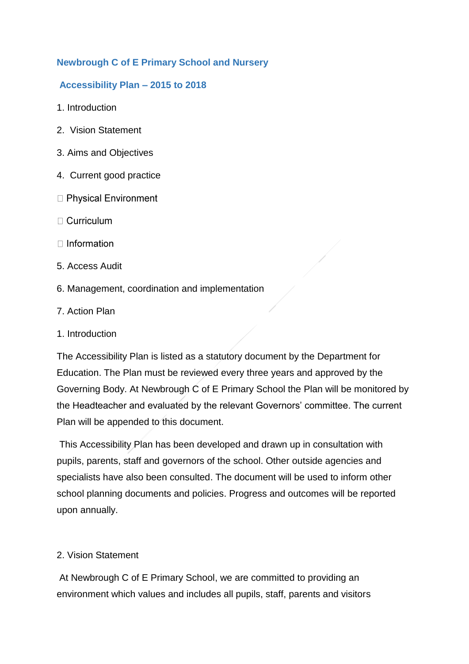## **Newbrough C of E Primary School and Nursery**

### **Accessibility Plan – 2015 to 2018**

- 1. Introduction
- 2. Vision Statement
- 3. Aims and Objectives
- 4. Current good practice
- □ Physical Environment
- $\Box$  Curriculum
- $\Box$  Information
- 5. Access Audit
- 6. Management, coordination and implementation
- 7. Action Plan
- 1. Introduction

The Accessibility Plan is listed as a statutory document by the Department for Education. The Plan must be reviewed every three years and approved by the Governing Body. At Newbrough C of E Primary School the Plan will be monitored by the Headteacher and evaluated by the relevant Governors' committee. The current Plan will be appended to this document.

This Accessibility Plan has been developed and drawn up in consultation with pupils, parents, staff and governors of the school. Other outside agencies and specialists have also been consulted. The document will be used to inform other school planning documents and policies. Progress and outcomes will be reported upon annually.

## 2. Vision Statement

At Newbrough C of E Primary School, we are committed to providing an environment which values and includes all pupils, staff, parents and visitors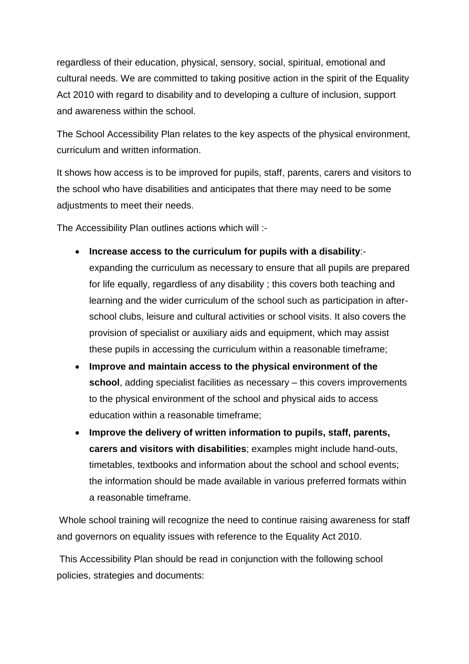regardless of their education, physical, sensory, social, spiritual, emotional and cultural needs. We are committed to taking positive action in the spirit of the Equality Act 2010 with regard to disability and to developing a culture of inclusion, support and awareness within the school.

The School Accessibility Plan relates to the key aspects of the physical environment, curriculum and written information.

It shows how access is to be improved for pupils, staff, parents, carers and visitors to the school who have disabilities and anticipates that there may need to be some adjustments to meet their needs.

The Accessibility Plan outlines actions which will :-

- **Increase access to the curriculum for pupils with a disability**: expanding the curriculum as necessary to ensure that all pupils are prepared for life equally, regardless of any disability ; this covers both teaching and learning and the wider curriculum of the school such as participation in afterschool clubs, leisure and cultural activities or school visits. It also covers the provision of specialist or auxiliary aids and equipment, which may assist these pupils in accessing the curriculum within a reasonable timeframe;
- **Improve and maintain access to the physical environment of the school**, adding specialist facilities as necessary – this covers improvements to the physical environment of the school and physical aids to access education within a reasonable timeframe;
- **Improve the delivery of written information to pupils, staff, parents, carers and visitors with disabilities**; examples might include hand-outs, timetables, textbooks and information about the school and school events; the information should be made available in various preferred formats within a reasonable timeframe.

Whole school training will recognize the need to continue raising awareness for staff and governors on equality issues with reference to the Equality Act 2010.

This Accessibility Plan should be read in conjunction with the following school policies, strategies and documents: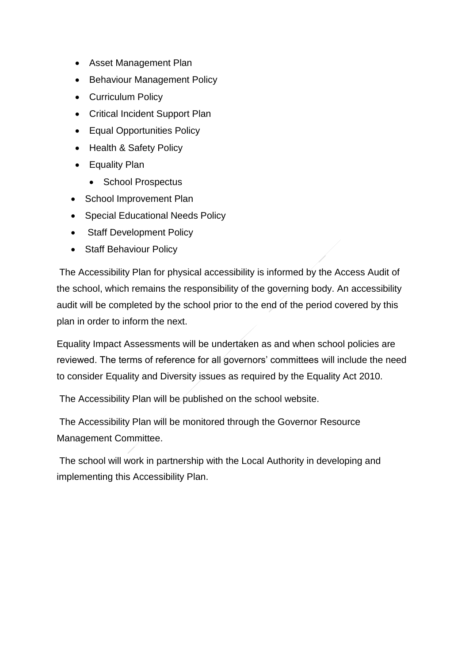- Asset Management Plan
- Behaviour Management Policy
- Curriculum Policy
- Critical Incident Support Plan
- Equal Opportunities Policy
- Health & Safety Policy
- Equality Plan
	- School Prospectus
- School Improvement Plan
- Special Educational Needs Policy
- Staff Development Policy
- Staff Behaviour Policy

The Accessibility Plan for physical accessibility is informed by the Access Audit of the school, which remains the responsibility of the governing body. An accessibility audit will be completed by the school prior to the end of the period covered by this plan in order to inform the next.

Equality Impact Assessments will be undertaken as and when school policies are reviewed. The terms of reference for all governors' committees will include the need to consider Equality and Diversity issues as required by the Equality Act 2010.

The Accessibility Plan will be published on the school website.

The Accessibility Plan will be monitored through the Governor Resource Management Committee.

The school will work in partnership with the Local Authority in developing and implementing this Accessibility Plan.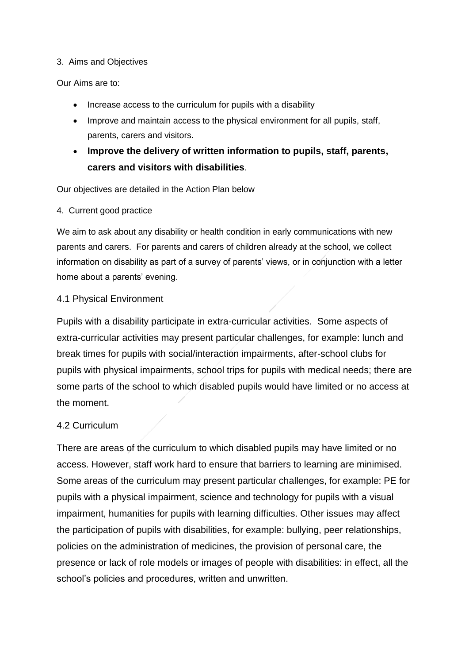#### 3. Aims and Objectives

Our Aims are to:

- Increase access to the curriculum for pupils with a disability
- Improve and maintain access to the physical environment for all pupils, staff, parents, carers and visitors.
- **Improve the delivery of written information to pupils, staff, parents, carers and visitors with disabilities**.

Our objectives are detailed in the Action Plan below

4. Current good practice

We aim to ask about any disability or health condition in early communications with new parents and carers. For parents and carers of children already at the school, we collect information on disability as part of a survey of parents' views, or in conjunction with a letter home about a parents' evening.

### 4.1 Physical Environment

Pupils with a disability participate in extra-curricular activities. Some aspects of extra-curricular activities may present particular challenges, for example: lunch and break times for pupils with social/interaction impairments, after-school clubs for pupils with physical impairments, school trips for pupils with medical needs; there are some parts of the school to which disabled pupils would have limited or no access at the moment.

### 4.2 Curriculum

There are areas of the curriculum to which disabled pupils may have limited or no access. However, staff work hard to ensure that barriers to learning are minimised. Some areas of the curriculum may present particular challenges, for example: PE for pupils with a physical impairment, science and technology for pupils with a visual impairment, humanities for pupils with learning difficulties. Other issues may affect the participation of pupils with disabilities, for example: bullying, peer relationships, policies on the administration of medicines, the provision of personal care, the presence or lack of role models or images of people with disabilities: in effect, all the school's policies and procedures, written and unwritten.